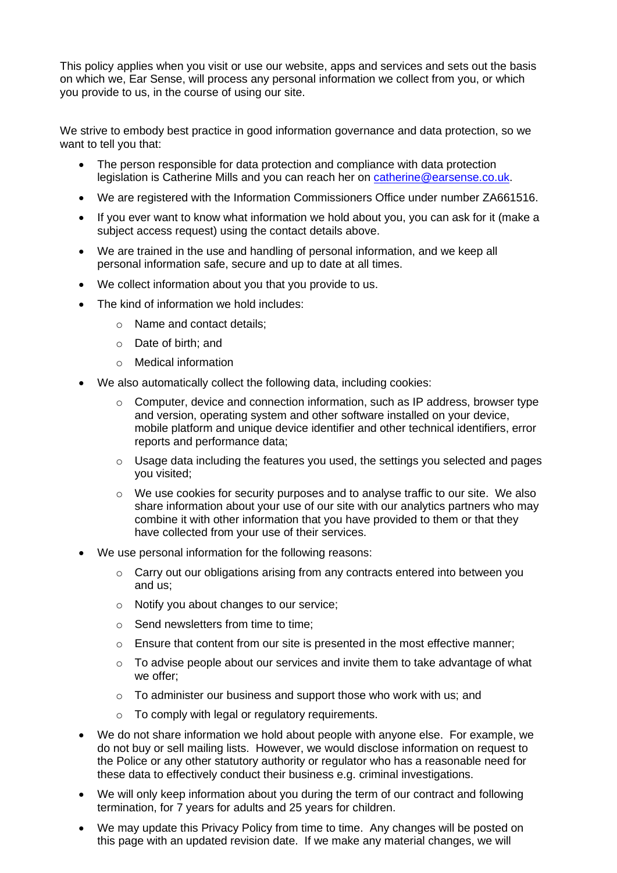This policy applies when you visit or use our website, apps and services and sets out the basis on which we, Ear Sense, will process any personal information we collect from you, or which you provide to us, in the course of using our site.

We strive to embody best practice in good information governance and data protection, so we want to tell you that:

- The person responsible for data protection and compliance with data protection legislation is Catherine Mills and you can reach her on [catherine@earsense.co.uk.](mailto:catherine@earsense.co.uk)
- We are registered with the Information Commissioners Office under number ZA661516.
- If you ever want to know what information we hold about you, you can ask for it (make a subject access request) using the contact details above.
- We are trained in the use and handling of personal information, and we keep all personal information safe, secure and up to date at all times.
- We collect information about you that you provide to us.
- The kind of information we hold includes:
	- o Name and contact details;
	- o Date of birth; and
	- o Medical information
- We also automatically collect the following data, including cookies:
	- o Computer, device and connection information, such as IP address, browser type and version, operating system and other software installed on your device, mobile platform and unique device identifier and other technical identifiers, error reports and performance data;
	- o Usage data including the features you used, the settings you selected and pages you visited;
	- o We use cookies for security purposes and to analyse traffic to our site. We also share information about your use of our site with our analytics partners who may combine it with other information that you have provided to them or that they have collected from your use of their services.
- We use personal information for the following reasons:
	- o Carry out our obligations arising from any contracts entered into between you and us;
	- o Notify you about changes to our service;
	- o Send newsletters from time to time;
	- $\circ$  Ensure that content from our site is presented in the most effective manner;
	- o To advise people about our services and invite them to take advantage of what we offer;
	- o To administer our business and support those who work with us; and
	- $\circ$  To comply with legal or regulatory requirements.
- We do not share information we hold about people with anyone else. For example, we do not buy or sell mailing lists. However, we would disclose information on request to the Police or any other statutory authority or regulator who has a reasonable need for these data to effectively conduct their business e.g. criminal investigations.
- We will only keep information about you during the term of our contract and following termination, for 7 years for adults and 25 years for children.
- We may update this Privacy Policy from time to time. Any changes will be posted on this page with an updated revision date. If we make any material changes, we will